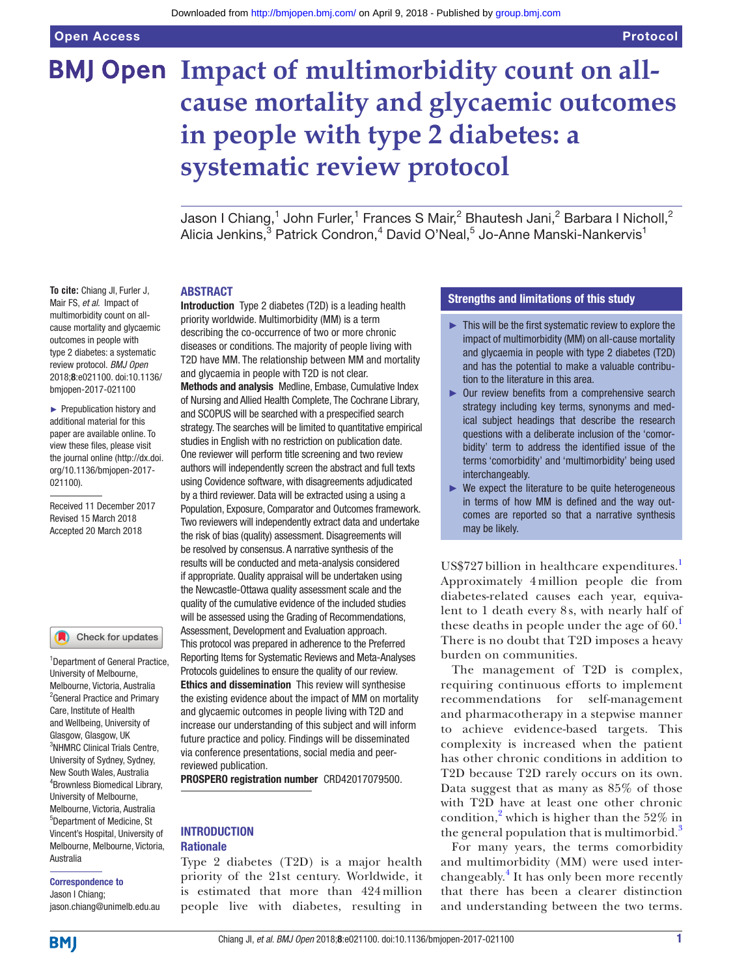# **BMJ Open Impact of multimorbidity count on allcause mortality and glycaemic outcomes in people with type 2 diabetes: a systematic review protocol**

Jason I Chiang, $^1$  John Furler, $^1$  Frances S Mair, $^2$  Bhautesh Jani, $^2$  Barbara I Nicholl, $^2$ Alicia Jenkins,<sup>3</sup> Patrick Condron,<sup>4</sup> David O'Neal,<sup>5</sup> Jo-Anne Manski-Nankervis<sup>1</sup>

#### **ABSTRACT**

Mair FS, *et al*. Impact of multimorbidity count on allcause mortality and glycaemic outcomes in people with type 2 diabetes: a systematic review protocol. *BMJ Open* 2018;8:e021100. doi:10.1136/ bmjopen-2017-021100 Introduction Type 2 diabetes (T2D) is a leading health

► Prepublication history and additional material for this paper are available online. To view these files, please visit the journal online [\(http://dx.doi.](http://dx.doi.org/10.1136/bmjopen-2017-021100) [org/10.1136/bmjopen-2017-](http://dx.doi.org/10.1136/bmjopen-2017-021100) [021100\)](http://dx.doi.org/10.1136/bmjopen-2017-021100).

**To cite:** Chiang JI, Furler J,

Received 11 December 2017 Revised 15 March 2018 Accepted 20 March 2018

#### Check for updates

1 Department of General Practice, University of Melbourne, Melbourne, Victoria, Australia <sup>2</sup> General Practice and Primary Care, Institute of Health and Wellbeing, University of Glasgow, Glasgow, UK 3 NHMRC Clinical Trials Centre, University of Sydney, Sydney, New South Wales, Australia 4 Brownless Biomedical Library, University of Melbourne, Melbourne, Victoria, Australia 5 Department of Medicine, St Vincent's Hospital, University of Melbourne, Melbourne, Victoria, Australia

Correspondence to Jason I Chiang; jason.chiang@unimelb.edu.au

priority worldwide. Multimorbidity (MM) is a term describing the co-occurrence of two or more chronic diseases or conditions. The majority of people living with T2D have MM. The relationship between MM and mortality and glycaemia in people with T2D is not clear.

Methods and analysis Medline, Embase, Cumulative Index of Nursing and Allied Health Complete, The Cochrane Library, and SCOPUS will be searched with a prespecified search strategy. The searches will be limited to quantitative empirical studies in English with no restriction on publication date. One reviewer will perform title screening and two review authors will independently screen the abstract and full texts using Covidence software, with disagreements adjudicated by a third reviewer. Data will be extracted using a using a Population, Exposure, Comparator and Outcomes framework. Two reviewers will independently extract data and undertake the risk of bias (quality) assessment. Disagreements will be resolved by consensus. A narrative synthesis of the results will be conducted and meta-analysis considered if appropriate. Quality appraisal will be undertaken using the Newcastle-Ottawa quality assessment scale and the quality of the cumulative evidence of the included studies will be assessed using the Grading of Recommendations, Assessment, Development and Evaluation approach. This protocol was prepared in adherence to the Preferred Reporting Items for Systematic Reviews and Meta-Analyses Protocols guidelines to ensure the quality of our review. Ethics and dissemination This review will synthesise the existing evidence about the impact of MM on mortality and glycaemic outcomes in people living with T2D and increase our understanding of this subject and will inform future practice and policy. Findings will be disseminated via conference presentations, social media and peerreviewed publication.

PROSPERO registration number [CRD42017079500.](http://www.crd.york.ac.uk/PROSPERO/display_record.php?ID=CRD42017079500)

# **INTRODUCTION Rationale**

Type 2 diabetes (T2D) is a major health priority of the 21st century. Worldwide, it is estimated that more than 424 million people live with diabetes, resulting in

# Strengths and limitations of this study

- ► This will be the first systematic review to explore the impact of multimorbidity (MM) on all-cause mortality and glycaemia in people with type 2 diabetes (T2D) and has the potential to make a valuable contribution to the literature in this area.
- ► Our review benefits from a comprehensive search strategy including key terms, synonyms and medical subject headings that describe the research questions with a deliberate inclusion of the 'comorbidity' term to address the identified issue of the terms 'comorbidity' and 'multimorbidity' being used interchangeably.
- $\blacktriangleright$  We expect the literature to be quite heterogeneous in terms of how MM is defined and the way outcomes are reported so that a narrative synthesis may be likely.

 $US$727$  billion in healthcare expenditures.<sup>[1](#page-4-0)</sup> Approximately 4 million people die from diabetes-related causes each year, equivalent to 1 death every 8s, with nearly half of these deaths in people under the age of  $60<sup>1</sup>$  $60<sup>1</sup>$  $60<sup>1</sup>$ There is no doubt that T2D imposes a heavy burden on communities.

The management of T2D is complex, requiring continuous efforts to implement recommendations for self-management and pharmacotherapy in a stepwise manner to achieve evidence-based targets. This complexity is increased when the patient has other chronic conditions in addition to T2D because T2D rarely occurs on its own. Data suggest that as many as 85% of those with T2D have at least one other chronic condition,<sup>[2](#page-4-1)</sup> which is higher than the  $52\%$  in the general population that is multimorbid. $3$ 

For many years, the terms comorbidity and multimorbidity (MM) were used interchangeably.[4](#page-4-3) It has only been more recently that there has been a clearer distinction and understanding between the two terms.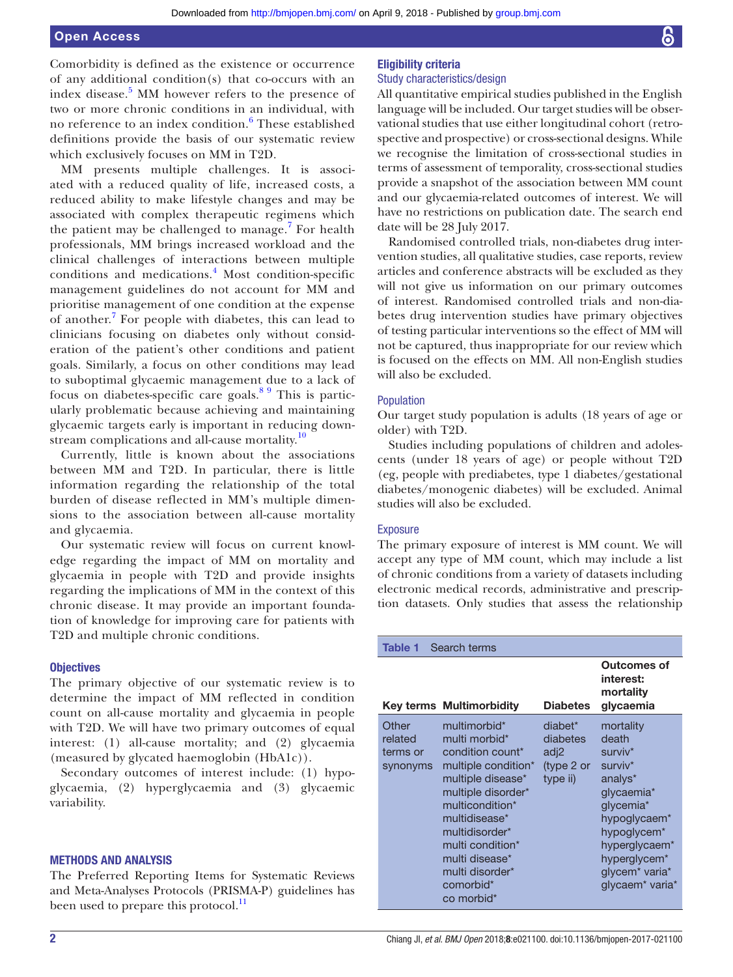Comorbidity is defined as the existence or occurrence of any additional condition(s) that co-occurs with an index disease.<sup>[5](#page-4-4)</sup> MM however refers to the presence of two or more chronic conditions in an individual, with no reference to an index condition.<sup>[6](#page-4-5)</sup> These established definitions provide the basis of our systematic review which exclusively focuses on MM in T2D.

MM presents multiple challenges. It is associated with a reduced quality of life, increased costs, a reduced ability to make lifestyle changes and may be associated with complex therapeutic regimens which the patient may be challenged to manage.<sup>[7](#page-4-6)</sup> For health professionals, MM brings increased workload and the clinical challenges of interactions between multiple conditions and medications.[4](#page-4-3) Most condition-specific management guidelines do not account for MM and prioritise management of one condition at the expense of another.<sup>[7](#page-4-6)</sup> For people with diabetes, this can lead to clinicians focusing on diabetes only without consideration of the patient's other conditions and patient goals. Similarly, a focus on other conditions may lead to suboptimal glycaemic management due to a lack of focus on diabetes-specific care goals. $89$  This is particularly problematic because achieving and maintaining glycaemic targets early is important in reducing down-stream complications and all-cause mortality.<sup>[10](#page-4-8)</sup>

Currently, little is known about the associations between MM and T2D. In particular, there is little information regarding the relationship of the total burden of disease reflected in MM's multiple dimensions to the association between all-cause mortality and glycaemia.

Our systematic review will focus on current knowledge regarding the impact of MM on mortality and glycaemia in people with T2D and provide insights regarding the implications of MM in the context of this chronic disease. It may provide an important foundation of knowledge for improving care for patients with T2D and multiple chronic conditions.

#### **Objectives**

The primary objective of our systematic review is to determine the impact of MM reflected in condition count on all-cause mortality and glycaemia in people with T2D. We will have two primary outcomes of equal interest: (1) all-cause mortality; and (2) glycaemia (measured by glycated haemoglobin (HbA1c)).

Secondary outcomes of interest include: (1) hypoglycaemia, (2) hyperglycaemia and (3) glycaemic variability.

#### Methods and analysis

The Preferred Reporting Items for Systematic Reviews and Meta-Analyses Protocols (PRISMA-P) guidelines has been used to prepare this protocol.<sup>[11](#page-4-9)</sup>

# Eligibility criteria

# Study characteristics/design

All quantitative empirical studies published in the English language will be included. Our target studies will be observational studies that use either longitudinal cohort (retrospective and prospective) or cross-sectional designs. While we recognise the limitation of cross-sectional studies in terms of assessment of temporality, cross-sectional studies provide a snapshot of the association between MM count and our glycaemia-related outcomes of interest. We will have no restrictions on publication date. The search end date will be 28 July 2017.

Randomised controlled trials, non-diabetes drug intervention studies, all qualitative studies, case reports, review articles and conference abstracts will be excluded as they will not give us information on our primary outcomes of interest. Randomised controlled trials and non-diabetes drug intervention studies have primary objectives of testing particular interventions so the effect of MM will not be captured, thus inappropriate for our review which is focused on the effects on MM. All non-English studies will also be excluded.

#### Population

Our target study population is adults (18 years of age or older) with T2D.

Studies including populations of children and adolescents (under 18 years of age) or people without T2D (eg, people with prediabetes, type 1 diabetes/gestational diabetes/monogenic diabetes) will be excluded. Animal studies will also be excluded.

#### **Exposure**

The primary exposure of interest is MM count. We will accept any type of MM count, which may include a list of chronic conditions from a variety of datasets including electronic medical records, administrative and prescription datasets. Only studies that assess the relationship

<span id="page-1-0"></span>

| Search terms<br>Table 1                  |                                                                                                                                                                                                                                                                           |                                                       |                                                                                                                                                                                                                                                                                                             |
|------------------------------------------|---------------------------------------------------------------------------------------------------------------------------------------------------------------------------------------------------------------------------------------------------------------------------|-------------------------------------------------------|-------------------------------------------------------------------------------------------------------------------------------------------------------------------------------------------------------------------------------------------------------------------------------------------------------------|
|                                          | Key terms Multimorbidity                                                                                                                                                                                                                                                  | <b>Diabetes</b>                                       | <b>Outcomes of</b><br>interest:<br>mortality<br>glycaemia                                                                                                                                                                                                                                                   |
| Other<br>related<br>terms or<br>synonyms | multimorbid*<br>multi morbid*<br>condition count*<br>multiple condition*<br>multiple disease*<br>multiple disorder*<br>multicondition*<br>multidisease*<br>multidisorder*<br>multi condition*<br>multi disease*<br>multi disorder*<br>comorbid*<br>co morbid <sup>*</sup> | diabet*<br>diabetes<br>adi2<br>(type 2 or<br>type ii) | mortality<br>death<br>surviv <sup>*</sup><br>surviv <sup>*</sup><br>analys*<br>glycaemia*<br>glycemia <sup>*</sup><br>hypoglycaem <sup>*</sup><br>hypoglycem <sup>*</sup><br>hyperglycaem*<br>hyperglycem <sup>*</sup><br>glycem <sup>*</sup> varia <sup>*</sup><br>glycaem <sup>*</sup> varia <sup>*</sup> |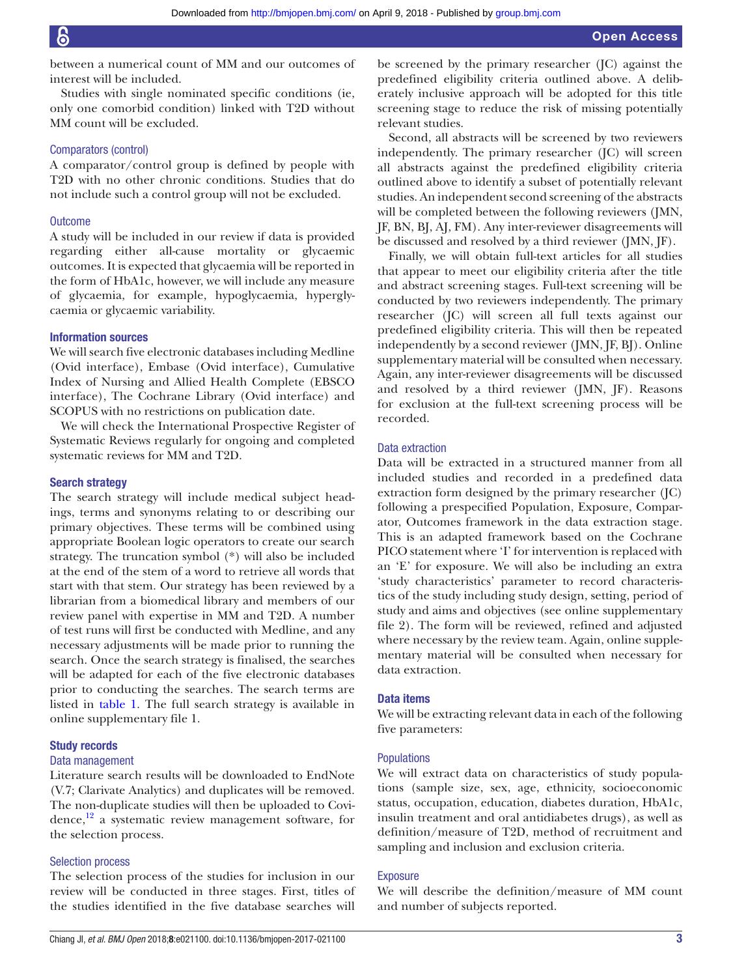between a numerical count of MM and our outcomes of interest will be included.

Studies with single nominated specific conditions (ie, only one comorbid condition) linked with T2D without MM count will be excluded.

# Comparators (control)

A comparator/control group is defined by people with T2D with no other chronic conditions. Studies that do not include such a control group will not be excluded.

#### **Outcome**

A study will be included in our review if data is provided regarding either all-cause mortality or glycaemic outcomes. It is expected that glycaemia will be reported in the form of HbA1c, however, we will include any measure of glycaemia, for example, hypoglycaemia, hyperglycaemia or glycaemic variability.

#### Information sources

We will search five electronic databases including Medline (Ovid interface), Embase (Ovid interface), Cumulative Index of Nursing and Allied Health Complete (EBSCO interface), The Cochrane Library (Ovid interface) and SCOPUS with no restrictions on publication date.

We will check the International Prospective Register of Systematic Reviews regularly for ongoing and completed systematic reviews for MM and T2D.

#### Search strategy

The search strategy will include medical subject headings, terms and synonyms relating to or describing our primary objectives. These terms will be combined using appropriate Boolean logic operators to create our search strategy. The truncation symbol (\*) will also be included at the end of the stem of a word to retrieve all words that start with that stem. Our strategy has been reviewed by a librarian from a biomedical library and members of our review panel with expertise in MM and T2D. A number of test runs will first be conducted with Medline, and any necessary adjustments will be made prior to running the search. Once the search strategy is finalised, the searches will be adapted for each of the five electronic databases prior to conducting the searches. The search terms are listed in [table](#page-1-0) 1. The full search strategy is available in online [supplementary file 1](https://dx.doi.org/10.1136/bmjopen-2017-021100).

#### Study records

#### Data management

Literature search results will be downloaded to EndNote (V.7; Clarivate Analytics) and duplicates will be removed. The non-duplicate studies will then be uploaded to Covidence, $12$  a systematic review management software, for the selection process.

# Selection process

The selection process of the studies for inclusion in our review will be conducted in three stages. First, titles of the studies identified in the five database searches will

be screened by the primary researcher (JC) against the predefined eligibility criteria outlined above. A deliberately inclusive approach will be adopted for this title screening stage to reduce the risk of missing potentially relevant studies.

Second, all abstracts will be screened by two reviewers independently. The primary researcher (JC) will screen all abstracts against the predefined eligibility criteria outlined above to identify a subset of potentially relevant studies. An independent second screening of the abstracts will be completed between the following reviewers (JMN, JF, BN, BJ, AJ, FM). Any inter-reviewer disagreements will be discussed and resolved by a third reviewer (JMN, JF).

Finally, we will obtain full-text articles for all studies that appear to meet our eligibility criteria after the title and abstract screening stages. Full-text screening will be conducted by two reviewers independently. The primary researcher (JC) will screen all full texts against our predefined eligibility criteria. This will then be repeated independently by a second reviewer (JMN, JF, BJ). Online supplementary material will be consulted when necessary. Again, any inter-reviewer disagreements will be discussed and resolved by a third reviewer (JMN, JF). Reasons for exclusion at the full-text screening process will be recorded.

#### Data extraction

Data will be extracted in a structured manner from all included studies and recorded in a predefined data extraction form designed by the primary researcher (JC) following a prespecified Population, Exposure, Comparator, Outcomes framework in the data extraction stage. This is an adapted framework based on the Cochrane PICO statement where 'I' for intervention is replaced with an 'E' for exposure. We will also be including an extra 'study characteristics' parameter to record characteristics of the study including study design, setting, period of study and aims and objectives (see online [supplementary](https://dx.doi.org/10.1136/bmjopen-2017-021100)  [file 2](https://dx.doi.org/10.1136/bmjopen-2017-021100)). The form will be reviewed, refined and adjusted where necessary by the review team. Again, online supplementary material will be consulted when necessary for data extraction.

# Data items

We will be extracting relevant data in each of the following five parameters:

#### **Populations**

We will extract data on characteristics of study populations (sample size, sex, age, ethnicity, socioeconomic status, occupation, education, diabetes duration, HbA1c, insulin treatment and oral antidiabetes drugs), as well as definition/measure of T2D, method of recruitment and sampling and inclusion and exclusion criteria.

### **Exposure**

We will describe the definition/measure of MM count and number of subjects reported.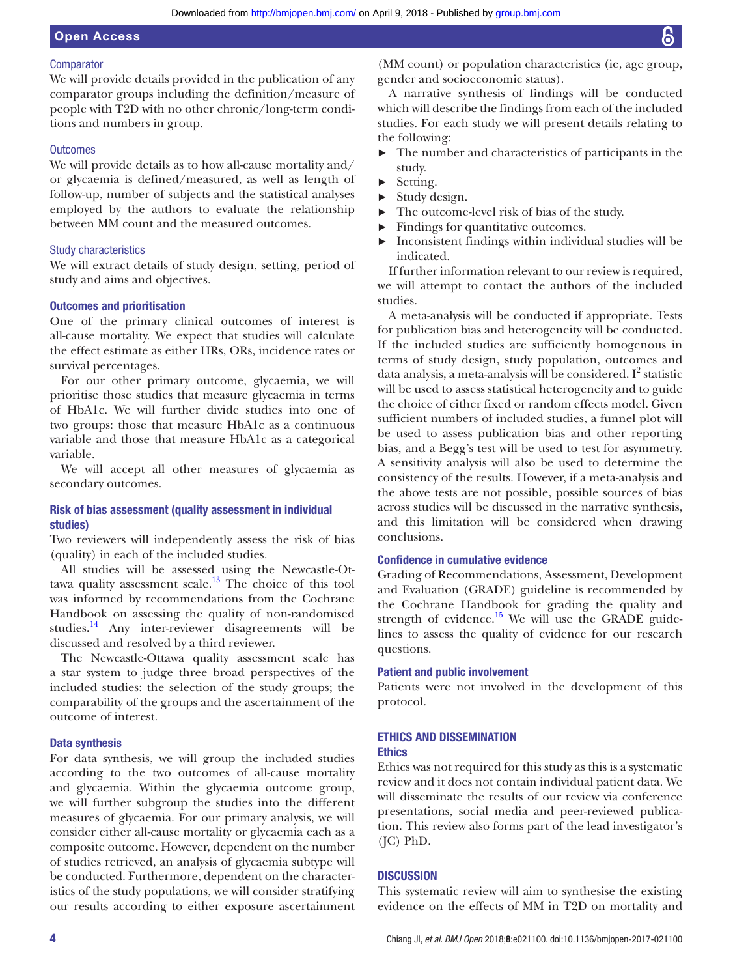# Open Access

# **Comparator**

We will provide details provided in the publication of any comparator groups including the definition/measure of people with T2D with no other chronic/long-term conditions and numbers in group.

# **Outcomes**

We will provide details as to how all-cause mortality and/ or glycaemia is defined/measured, as well as length of follow-up, number of subjects and the statistical analyses employed by the authors to evaluate the relationship between MM count and the measured outcomes.

# Study characteristics

We will extract details of study design, setting, period of study and aims and objectives.

# Outcomes and prioritisation

One of the primary clinical outcomes of interest is all-cause mortality. We expect that studies will calculate the effect estimate as either HRs, ORs, incidence rates or survival percentages.

For our other primary outcome, glycaemia, we will prioritise those studies that measure glycaemia in terms of HbA1c. We will further divide studies into one of two groups: those that measure HbA1c as a continuous variable and those that measure HbA1c as a categorical variable.

We will accept all other measures of glycaemia as secondary outcomes.

# Risk of bias assessment (quality assessment in individual studies)

Two reviewers will independently assess the risk of bias (quality) in each of the included studies.

All studies will be assessed using the Newcastle-Ottawa quality assessment scale. $13$  The choice of this tool was informed by recommendations from the Cochrane Handbook on assessing the quality of non-randomised studies.<sup>14</sup> Any inter-reviewer disagreements will be discussed and resolved by a third reviewer.

The Newcastle-Ottawa quality assessment scale has a star system to judge three broad perspectives of the included studies: the selection of the study groups; the comparability of the groups and the ascertainment of the outcome of interest.

# Data synthesis

For data synthesis, we will group the included studies according to the two outcomes of all-cause mortality and glycaemia. Within the glycaemia outcome group, we will further subgroup the studies into the different measures of glycaemia. For our primary analysis, we will consider either all-cause mortality or glycaemia each as a composite outcome. However, dependent on the number of studies retrieved, an analysis of glycaemia subtype will be conducted. Furthermore, dependent on the characteristics of the study populations, we will consider stratifying our results according to either exposure ascertainment

(MM count) or population characteristics (ie, age group, gender and socioeconomic status).

A narrative synthesis of findings will be conducted which will describe the findings from each of the included studies. For each study we will present details relating to the following:

- ► The number and characteristics of participants in the study.
- ► Setting.
- ► Study design.
- ► The outcome-level risk of bias of the study.
- ► Findings for quantitative outcomes.
- ► Inconsistent findings within individual studies will be indicated.

If further information relevant to our review is required, we will attempt to contact the authors of the included studies.

A meta-analysis will be conducted if appropriate. Tests for publication bias and heterogeneity will be conducted. If the included studies are sufficiently homogenous in terms of study design, study population, outcomes and data analysis, a meta-analysis will be considered. I<sup>2</sup> statistic will be used to assess statistical heterogeneity and to guide the choice of either fixed or random effects model. Given sufficient numbers of included studies, a funnel plot will be used to assess publication bias and other reporting bias, and a Begg's test will be used to test for asymmetry. A sensitivity analysis will also be used to determine the consistency of the results. However, if a meta-analysis and the above tests are not possible, possible sources of bias across studies will be discussed in the narrative synthesis, and this limitation will be considered when drawing conclusions.

# Confidence in cumulative evidence

Grading of Recommendations, Assessment, Development and Evaluation (GRADE) guideline is recommended by the Cochrane Handbook for grading the quality and strength of evidence. $15$  We will use the GRADE guidelines to assess the quality of evidence for our research questions.

#### Patient and public involvement

Patients were not involved in the development of this protocol.

# Ethics and dissemination

#### Ethics

Ethics was not required for this study as this is a systematic review and it does not contain individual patient data. We will disseminate the results of our review via conference presentations, social media and peer-reviewed publication. This review also forms part of the lead investigator's (JC) PhD.

# **DISCUSSION**

This systematic review will aim to synthesise the existing evidence on the effects of MM in T2D on mortality and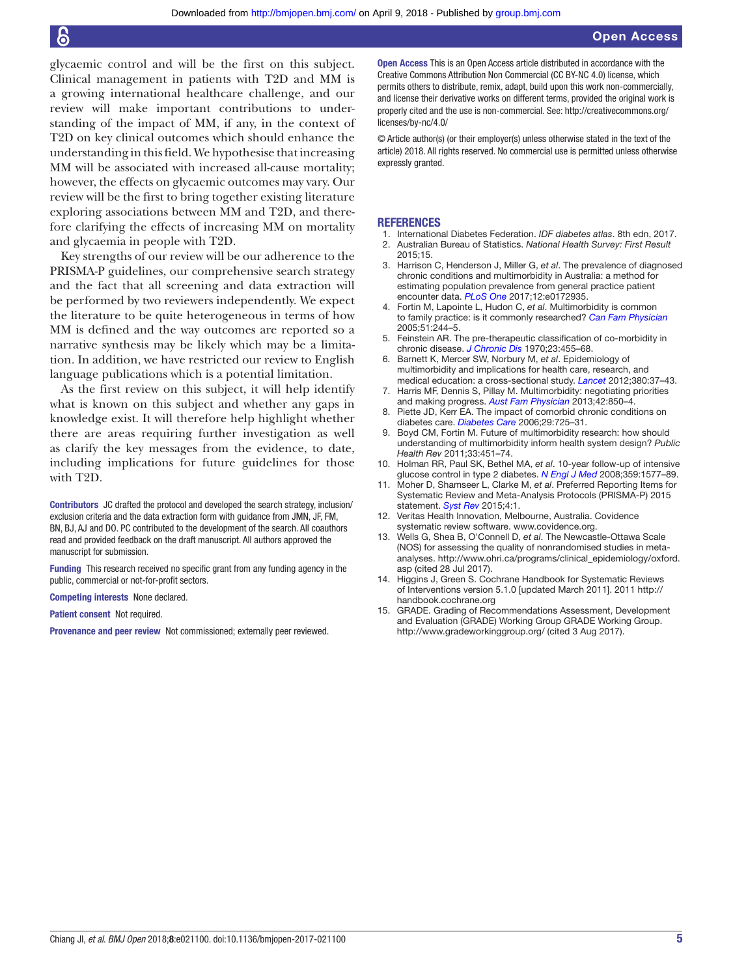glycaemic control and will be the first on this subject. Clinical management in patients with T2D and MM is a growing international healthcare challenge, and our review will make important contributions to understanding of the impact of MM, if any, in the context of T2D on key clinical outcomes which should enhance the understanding in this field. We hypothesise that increasing MM will be associated with increased all-cause mortality; however, the effects on glycaemic outcomes may vary. Our review will be the first to bring together existing literature exploring associations between MM and T2D, and therefore clarifying the effects of increasing MM on mortality and glycaemia in people with T2D.

Key strengths of our review will be our adherence to the PRISMA-P guidelines, our comprehensive search strategy and the fact that all screening and data extraction will be performed by two reviewers independently. We expect the literature to be quite heterogeneous in terms of how MM is defined and the way outcomes are reported so a narrative synthesis may be likely which may be a limitation. In addition, we have restricted our review to English language publications which is a potential limitation.

As the first review on this subject, it will help identify what is known on this subject and whether any gaps in knowledge exist. It will therefore help highlight whether there are areas requiring further investigation as well as clarify the key messages from the evidence, to date, including implications for future guidelines for those with T2D.

Contributors JC drafted the protocol and developed the search strategy, inclusion/ exclusion criteria and the data extraction form with guidance from JMN, JF, FM, BN, BJ, AJ and DO. PC contributed to the development of the search. All coauthors read and provided feedback on the draft manuscript. All authors approved the manuscript for submission.

Funding This research received no specific grant from any funding agency in the public, commercial or not-for-profit sectors.

Competing interests None declared.

Patient consent Not required.

Provenance and peer review Not commissioned; externally peer reviewed.

Open Access This is an Open Access article distributed in accordance with the Creative Commons Attribution Non Commercial (CC BY-NC 4.0) license, which permits others to distribute, remix, adapt, build upon this work non-commercially, and license their derivative works on different terms, provided the original work is properly cited and the use is non-commercial. See: [http://creativecommons.org/](http://creativecommons.org/licenses/by-nc/4.0/) [licenses/by-nc/4.0/](http://creativecommons.org/licenses/by-nc/4.0/)

© Article author(s) (or their employer(s) unless otherwise stated in the text of the article) 2018. All rights reserved. No commercial use is permitted unless otherwise expressly granted.

#### **REFERENCES**

- <span id="page-4-1"></span><span id="page-4-0"></span>1. International Diabetes Federation. *IDF diabetes atlas*. 8th edn, 2017. 2. Australian Bureau of Statistics. *National Health Survey: First Result*
- <span id="page-4-2"></span>2015;15. 3. Harrison C, Henderson J, Miller G, *et al*. The prevalence of diagnosed chronic conditions and multimorbidity in Australia: a method for estimating population prevalence from general practice patient
- <span id="page-4-3"></span>encounter data. *[PLoS One](http://dx.doi.org/10.1371/journal.pone.0172935)* 2017;12:e0172935. 4. Fortin M, Lapointe L, Hudon C, *et al*. Multimorbidity is common to family practice: is it commonly researched? *[Can Fam Physician](http://www.ncbi.nlm.nih.gov/pubmed/16926936)*
- <span id="page-4-4"></span>2005;51:244–5. 5. Feinstein AR. The pre-therapeutic classification of co-morbidity in chronic disease. *[J Chronic Dis](http://dx.doi.org/10.1016/0021-9681(70)90054-8)* 1970;23:455–68.
- <span id="page-4-5"></span>6. Barnett K, Mercer SW, Norbury M, *et al*. Epidemiology of multimorbidity and implications for health care, research, and medical education: a cross-sectional study. *[Lancet](http://dx.doi.org/10.1016/S0140-6736(12)60240-2)* 2012;380:37–43.
- <span id="page-4-6"></span>7. Harris MF, Dennis S, Pillay M. Multimorbidity: negotiating priorities and making progress. *[Aust Fam Physician](http://www.ncbi.nlm.nih.gov/pubmed/24324984)* 2013;42:850–4.
- <span id="page-4-7"></span>8. Piette JD, Kerr EA. The impact of comorbid chronic conditions on diabetes care. *[Diabetes Care](http://dx.doi.org/10.2337/diacare.29.03.06.dc05-2078)* 2006;29:725–31.
- 9. Boyd CM, Fortin M. Future of multimorbidity research: how should understanding of multimorbidity inform health system design? *Public Health Rev* 2011;33:451–74.
- <span id="page-4-8"></span>10. Holman RR, Paul SK, Bethel MA, *et al*. 10-year follow-up of intensive glucose control in type 2 diabetes. *[N Engl J Med](http://dx.doi.org/10.1056/NEJMoa0806470)* 2008;359:1577–89.
- <span id="page-4-9"></span>11. Moher D, Shamseer L, Clarke M, *et al*. Preferred Reporting Items for Systematic Review and Meta-Analysis Protocols (PRISMA-P) 2015 statement. *[Syst Rev](http://dx.doi.org/10.1186/2046-4053-4-1)* 2015;4:1.
- <span id="page-4-10"></span>12. Veritas Health Innovation, Melbourne, Australia. Covidence systematic review software. [www.covidence.org.](www.covidence.org)
- <span id="page-4-11"></span>13. Wells G, Shea B, O'Connell D, *et al*. The Newcastle-Ottawa Scale (NOS) for assessing the quality of nonrandomised studies in metaanalyses. [http://www.ohri.ca/programs/clinical\\_epidemiology/oxford.](http://www.ohri.ca/programs/clinical_epidemiology/oxford.asp) [asp](http://www.ohri.ca/programs/clinical_epidemiology/oxford.asp) (cited 28 Jul 2017).
- <span id="page-4-12"></span>14. Higgins J, Green S. Cochrane Handbook for Systematic Reviews of Interventions version 5.1.0 [updated March 2011]. 2011 [http://](http://handbook.cochrane.org) [handbook.cochrane.org](http://handbook.cochrane.org)
- <span id="page-4-13"></span>15. GRADE. Grading of Recommendations Assessment, Development and Evaluation (GRADE) Working Group GRADE Working Group. <http://www.gradeworkinggroup.org/>(cited 3 Aug 2017).